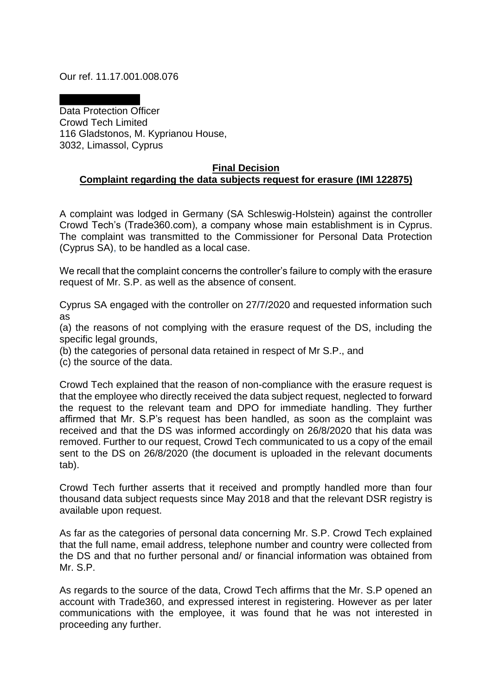Our ref. 11.17.001.008.076

Data Protection Officer Crowd Tech Limited 116 Gladstonos, M. Kyprianou House, 3032, Limassol, Cyprus

## **Final Decision Complaint regarding the data subjects request for erasure (IMI 122875)**

A complaint was lodged in Germany (SA Schleswig-Holstein) against the controller Crowd Tech's (Trade360.com), a company whose main establishment is in Cyprus. The complaint was transmitted to the Commissioner for Personal Data Protection (Cyprus SA), to be handled as a local case.

We recall that the complaint concerns the controller's failure to comply with the erasure request of Mr. S.P. as well as the absence of consent.

Cyprus SA engaged with the controller on 27/7/2020 and requested information such as

(a) the reasons of not complying with the erasure request of the DS, including the specific legal grounds,

(b) the categories of personal data retained in respect of Mr S.P., and

(c) the source of the data.

Crowd Tech explained that the reason of non-compliance with the erasure request is that the employee who directly received the data subject request, neglected to forward the request to the relevant team and DPO for immediate handling. They further affirmed that Mr. S.P's request has been handled, as soon as the complaint was received and that the DS was informed accordingly on 26/8/2020 that his data was removed. Further to our request, Crowd Tech communicated to us a copy of the email sent to the DS on 26/8/2020 (the document is uploaded in the relevant documents tab).

Crowd Tech further asserts that it received and promptly handled more than four thousand data subject requests since May 2018 and that the relevant DSR registry is available upon request.

As far as the categories of personal data concerning Mr. S.P. Crowd Tech explained that the full name, email address, telephone number and country were collected from the DS and that no further personal and/ or financial information was obtained from Mr. S.P.

As regards to the source of the data, Crowd Tech affirms that the Mr. S.P opened an account with Trade360, and expressed interest in registering. However as per later communications with the employee, it was found that he was not interested in proceeding any further.